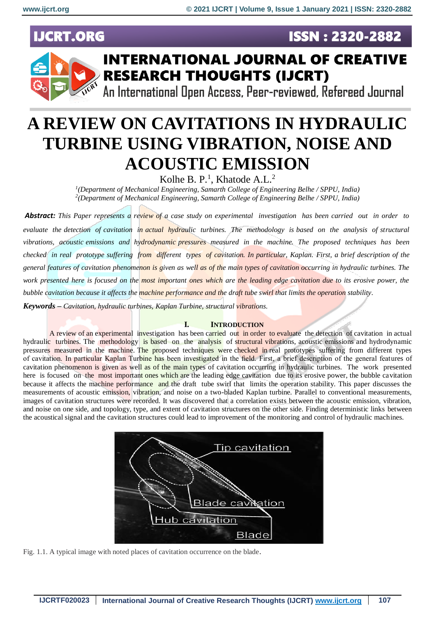**ISSN: 2320-2882** 

## **IJCRT.ORG**



## **INTERNATIONAL JOURNAL OF CREATIVE RESEARCH THOUGHTS (IJCRT)**

An International Open Access, Peer-reviewed, Refereed Journal

# **A REVIEW ON CAVITATIONS IN HYDRAULIC TURBINE USING VIBRATION, NOISE AND ACOUSTIC EMISSION**

Kolhe B. P.<sup>1</sup>, Khatode A.L.<sup>2</sup>

*1 (Department of Mechanical Engineering, Samarth College of Engineering Belhe / SPPU, India) 2 (Department of Mechanical Engineering, Samarth College of Engineering Belhe / SPPU, India)*

*Abstract: This Paper represents a review of a case study on experimental investigation has been carried out in order to evaluate the detection of cavitation in actual hydraulic turbines. The methodology is based on the analysis of structural vibrations, acoustic emissions and hydrodynamic pressures measured in the machine. The proposed techniques has been checked in real prototype suffering from different types of cavitation. In particular, Kaplan. First, a brief description of the general features of cavitation phenomenon is given as well as of the main types of cavitation occurring in hydraulic turbines. The work presented here is focused on the most important ones which are the leading edge cavitation due to its erosive power, the bubble cavitation because it affects the machine performance and the draft tube swirl that limits the operation stability.*

*Keywords – Cavitation, hydraulic turbines, Kaplan Turbine, structural vibrations.*

#### **I. INTRODUCTION**

A review of an experimental investigation has been carried out in order to evaluate the detection of cavitation in actual hydraulic turbines. The methodology is based on the analysis of structural vibrations, acoustic emissions and hydrodynamic pressures measured in the machine. The proposed techniques were checked in real prototypes suffering from different types of cavitation. In particular Kaplan Turbine has been investigated in the field. First, a brief description of the general features of cavitation phenomenon is given as well as of the main types of cavitation occurring in hydraulic turbines. The work presented here is focused on the most important ones which are the leading edge cavitation due to its erosive power, the bubble cavitation because it affects the machine performance and the draft tube swirl that limits the operation stability. This paper discusses the measurements of acoustic emission, vibration, and noise on a two-bladed Kaplan turbine. Parallel to conventional measurements, images of cavitation structures were recorded. It was discovered that a correlation exists between the acoustic emission, vibration, and noise on one side, and topology, type, and extent of cavitation structures on the other side. Finding deterministic links between the acoustical signal and the cavitation structures could lead to improvement of the monitoring and control of hydraulic machines.



Fig. 1.1. A typical image with noted places of cavitation occurrence on the blade.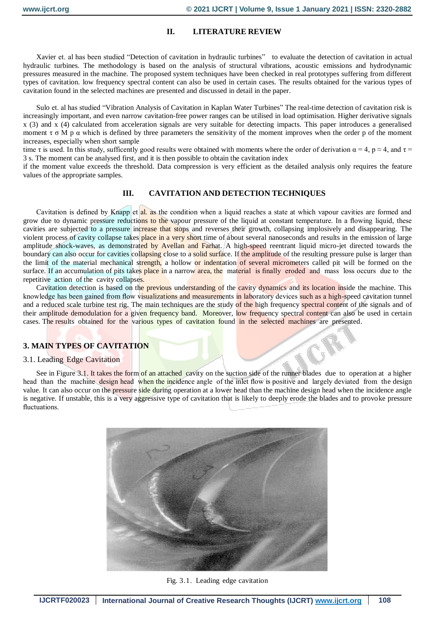## **II. LITERATURE REVIEW**

Xavier et. al has been studied "Detection of cavitation in hydraulic turbines" to evaluate the detection of cavitation in actual hydraulic turbines. The methodology is based on the analysis of structural vibrations, acoustic emissions and hydrodynamic pressures measured in the machine. The proposed system techniques have been checked in real prototypes suffering from different types of cavitation. low frequency spectral content can also be used in certain cases. The results obtained for the various types of cavitation found in the selected machines are presented and discussed in detail in the paper.

Sulo et. al has studied "Vibration Analysis of Cavitation in Kaplan Water Turbines" The real-time detection of cavitation risk is increasingly important, and even narrow cavitation-free power ranges can be utilised in load optimisation. Higher derivative signals x (3) and x (4) calculated from acceleration signals are very suitable for detecting impacts. This paper introduces a generalised moment  $\tau \sigma M p \alpha$  which is defined by three parameters the sensitivity of the moment improves when the order p of the moment increases, especially when short sample

time τ is used. In this study, sufficently good results were obtained with moments where the order of derivation  $\alpha = 4$ ,  $p \approx 4$ , and  $\tau =$ 3 s. The moment can be analysed first, and it is then possible to obtain the cavitation index

if the moment value exceeds the threshold. Data compression is very efficient as the detailed analysis only requires the feature values of the appropriate samples.

## **III. CAVITATION AND DETECTION TECHNIQUES**

Cavitation is defined by Knapp et al. as the condition when a liquid reaches a state at which vapour cavities are formed and grow due to dynamic pressure reductions to the vapour pressure of the liquid at constant temperature. In a flowing liquid, these cavities are subjected to a pressure increase that stops and reverses their growth, collapsing implosively and disappearing. The violent process of cavity collapse takes place in a very short time of about several nanoseconds and results in the emission of large amplitude shock-waves, as demonstrated by Avellan and Farhat. A high-speed reentrant liquid micro-jet directed towards the boundary can also occur for cavities collapsing close to a solid surface. If the amplitude of the resulting pressure pulse is larger than the limit of the material mechanical strength, a hollow or indentation of several micrometers called pit will be formed on the surface. If an accumulation of pits takes place in a narrow area, the material is finally eroded and mass loss occurs due to the repetitive action of the cavity collapses.

Cavitation detection is based on the previous understanding of the cavity dynamics and its location inside the machine. This knowledge has been gained from flow visualizations and measurements in laboratory devices such as a high-speed cavitation tunnel and a reduced scale turbine test rig. The main techniques are the study of the high frequency spectral content of the signals and of their amplitude demodulation for a given frequency band. Moreover, low frequency spectral content can also be used in certain cases. The results obtained for the various types of cavitation found in the selected machines are presented.

## **3. MAIN TYPES OF CAVITATION**

#### 3.1. Leading Edge Cavitation

See in Figure 3.1. It takes the form of an attached cavity on the suction side of the runner blades due to operation at a higher head than the machine design head when the incidence angle of the inlet flow is positive and largely deviated from the design value. It can also occur on the pressure side during operation at a lower head than the machine design head when the incidence angle is negative. If unstable, this is a very aggressive type of cavitation that is likely to deeply erode the blades and to provoke pressure fluctuations.



Fig. 3.1. Leading edge cavitation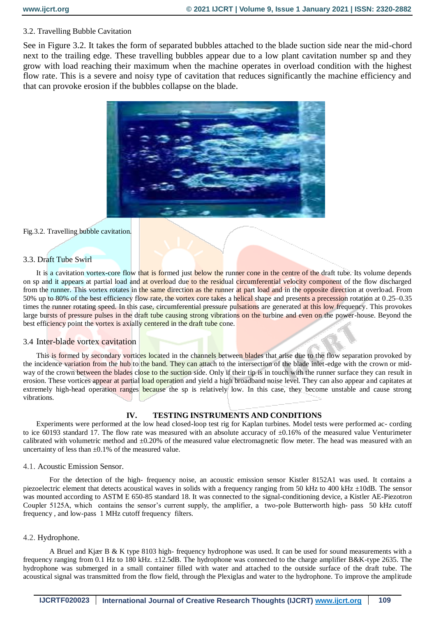## 3.2. Travelling Bubble Cavitation

See in Figure 3.2. It takes the form of separated bubbles attached to the blade suction side near the mid-chord next to the trailing edge. These travelling bubbles appear due to a low plant cavitation number sp and they grow with load reaching their maximum when the machine operates in overload condition with the highest flow rate. This is a severe and noisy type of cavitation that reduces significantly the machine efficiency and that can provoke erosion if the bubbles collapse on the blade.



#### Fig.3.2. Travelling bubble cavitation.

#### 3.3. Draft Tube Swirl

It is a cavitation vortex-core flow that is formed just below the runner cone in the centre of the draft tube. Its volume depends on sp and it appears at partial load and at overload due to the residual circumferential velocity component of the flow discharged from the runner. This vortex rotates in the same direction as the runner at part load and in the opposite direction at overload. From 50% up to 80% of the best efficiency flow rate, the vortex core takes a helical shape and presents a precession rotation at 0.25–0.35 times the runner rotating speed. In this case, circumferential pressure pulsations are generated at this low frequency. This provokes large bursts of pressure pulses in the draft tube causing strong vibrations on the turbine and even on the power-house. Beyond the best efficiency point the vortex is axially centered in the draft tube cone.

## 3.4 Inter-blade vortex cavitation

This is formed by secondary vortices located in the channels between blades that arise due to the flow separation provoked by the incidence variation from the hub to the band. They can attach to the intersection of the blade inlet-edge with the crown or midway of the crown between the blades close to the suction side. Only if their tip is in touch with the runner surface they can result in erosion. These vortices appear at partial load operation and yield a high broadband noise level. They can also appear and capitates at extremely high-head operation ranges because the sp is relatively low. In this case, they become unstable and cause strong vibrations.

## **IV. TESTING INSTRUMENTS AND CONDITIONS**

Experiments were performed at the low head closed-loop test rig for Kaplan turbines. Model tests were performed ac- cording to ice 60193 standard 17. The flow rate was measured with an absolute accuracy of  $\pm 0.16\%$  of the measured value Venturimeter calibrated with volumetric method and ±0.20% of the measured value electromagnetic flow meter. The head was measured with an uncertainty of less than  $\pm 0.1\%$  of the measured value.

#### 4.1. Acoustic Emission Sensor.

For the detection of the high- frequency noise, an acoustic emission sensor Kistler 8152A1 was used. It contains a piezoelectric element that detects acoustical waves in solids with a frequency ranging from 50 kHz to 400 kHz ±10dB. The sensor was mounted according to ASTM E 650-85 standard 18. It was connected to the signal-conditioning device, a Kistler AE-Piezotron Coupler 5125A, which contains the sensor's current supply, the amplifier, a two-pole Butterworth high- pass 50 kHz cutoff frequency , and low-pass 1 MHz cutoff frequency filters.

## 4.2. Hydrophone.

A Bruel and Kjær B & K type 8103 high- frequency hydrophone was used. It can be used for sound measurements with a frequency ranging from 0.1 Hz to 180 kHz. ±12.5dB. The hydrophone was connected to the charge amplifier B&K-type 2635. The hydrophone was submerged in a small container filled with water and attached to the outside surface of the draft tube. The acoustical signal was transmitted from the flow field, through the Plexiglas and water to the hydrophone. To improve the amplitude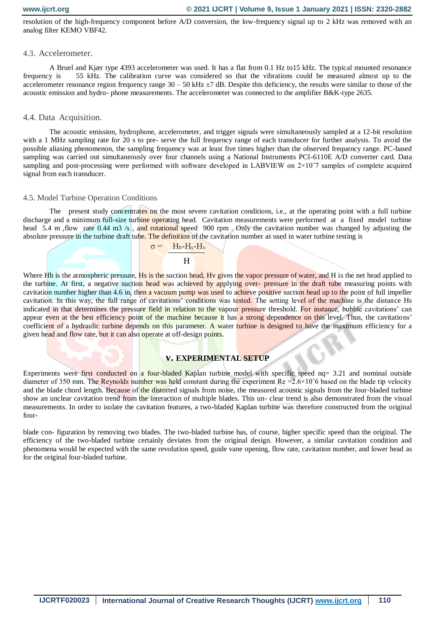resolution of the high-frequency component before A/D conversion, the low-frequency signal up to 2 kHz was removed with an analog filter KEMO VBF42.

#### 4.3. Accelerometer.

A Bruel and Kjær type 4393 accelerometer was used. It has a flat from 0.1 Hz to15 kHz. The typical mounted resonance frequency is 55 kHz. The calibration curve was considered so that the vibrations could be measured almost up to the accelerometer resonance region frequency range  $30 - 50$  kHz  $\pm$ 7 dB. Despite this deficiency, the results were similar to those of the acoustic emission and hydro- phone measurements. The accelerometer was connected to the amplifier B&K-type 2635.

#### 4.4. Data Acquisition.

The acoustic emission, hydrophone, accelerometer, and trigger signals were simultaneously sampled at a 12-bit resolution with a 1 MHz sampling rate for 20 s to pre- serve the full frequency range of each transducer for further analysis. To avoid the possible aliasing phenomenon, the sampling frequency was at least five times higher than the observed frequency range. PC-based sampling was carried out simultaneously over four channels using a National Instruments PCI-6110E A/D converter card. Data sampling and post-processing were performed with software developed in LABVIEW on 2×10<sup>o</sup>7 samples of complete acquired signal from each transducer.

#### 4.5. Model Turbine Operation Conditions

The present study concentrates on the most severe cavitation conditions, i.e., at the operating point with a full turbine discharge and a minimum full-size turbine operating head. Cavitation measurements were performed at a fixed model turbine head 5.4 m , flow rate 0.44 m3 /s , and rotational speed 900 rpm . Only the cavitation number was changed by adjusting the absolute pressure in the turbine draft tube. The definition of the cavitation number as used in water turbine testing is

$$
\sigma = \frac{H_b - H_s - H_v}{H_b - H_s - H_v}
$$

**H H** 

Where Hb is the atmospheric pressure, Hs is the suction head, Hy gives the vapor pressure of water, and H is the net head applied to the turbine. At first, a negative suction head was achieved by applying over- pressure in the draft tube measuring points with cavitation number higher than 4.6 in, then a vacuum pump was used to achieve positive suction head up to the point of full impeller cavitation. In this way, the full range of cavitations' conditions was tested. The setting level of the machine is the distance Hs indicated in that determines the pressure field in relation to the vapour pressure threshold. For instance, bubble cavitations' can appear even at the best efficiency point of the machine because it has a strong dependence on this level. Thus, the cavitations' coefficient of a hydraulic turbine depends on this parameter. A water turbine is designed to have the maximum efficiency for a given head and flow rate, but it can also operate at off-design points.

#### **v. EXPERIMENTAL SETUP**

Experiments were first conducted on a four-bladed Kaplan turbine model with specific speed nq= 3.21 and nominal outside diameter of 350 mm. The Reynolds number was held constant during the experiment Re =2.6×10ˆ6 based on the blade tip velocity and the blade chord length. Because of the distorted signals from noise, the measured acoustic signals from the four-bladed turbine show an unclear cavitation trend from the interaction of multiple blades. This un-clear trend is also demonstrated from the visual measurements. In order to isolate the cavitation features, a two-bladed Kaplan turbine was therefore constructed from the original four-

blade con- figuration by removing two blades. The two-bladed turbine has, of course, higher specific speed than the original. The efficiency of the two-bladed turbine certainly deviates from the original design. However, a similar cavitation condition and phenomena would be expected with the same revolution speed, guide vane opening, flow rate, cavitation number, and lower head as for the original four-bladed turbine.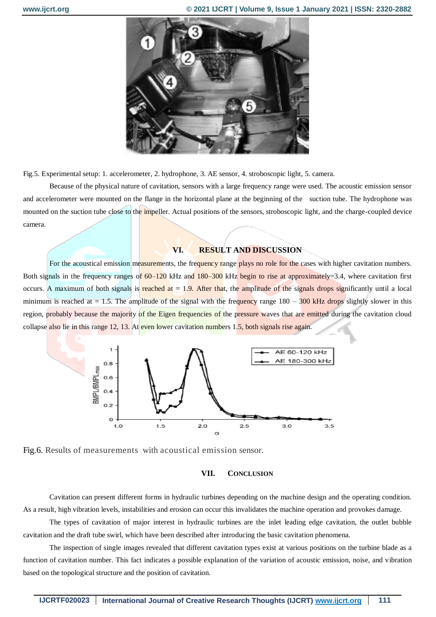

Fig.5. Experimental setup: 1. accelerometer, 2. hydrophone, 3. AE sensor, 4. stroboscopic light, 5. camera.

Because of the physical nature of cavitation, sensors with a large frequency range were used. The acoustic emission sensor and accelerometer were mounted on the flange in the horizontal plane at the beginning of the suction tube. The hydrophone was mounted on the suction tube close to the *impeller*. Actual positions of the sensors, stroboscopic light, and the charge-coupled device camera.

#### **VI. RESULT AND DISCUSSION**

For the acoustical emission measurements, the frequency range plays no role for the cases with higher cavitation numbers. Both signals in the frequency ranges of  $60-120$  kHz and  $180-300$  kHz begin to rise at approximately = 3.4, where cavitation first occurs. A maximum of both signals is reached at  $= 1.9$ . After that, the amplitude of the signals drops significantly until a local minimum is reached at  $= 1.5$ . The amplitude of the signal with the frequency range  $180 - 300$  kHz drops slightly slower in this region, probably because the majority of the Eigen frequencies of the pressure waves that are emitted during the cavitation cloud collapse also lie in this range 12, 13. At even lower cavitation numbers 1.5, both signals rise again.







Cavitation can present different forms in hydraulic turbines depending on the machine design and the operating condition. As a result, high vibration levels, instabilities and erosion can occur this invalidates the machine operation and provokes damage.

The types of cavitation of major interest in hydraulic turbines are the inlet leading edge cavitation, the outlet bubble cavitation and the draft tube swirl, which have been described after introducing the basic cavitation phenomena.

The inspection of single images revealed that different cavitation types exist at various positions on the turbine blade as a function of cavitation number. This fact indicates a possible explanation of the variation of acoustic emission, noise, and vibration based on the topological structure and the position of cavitation.